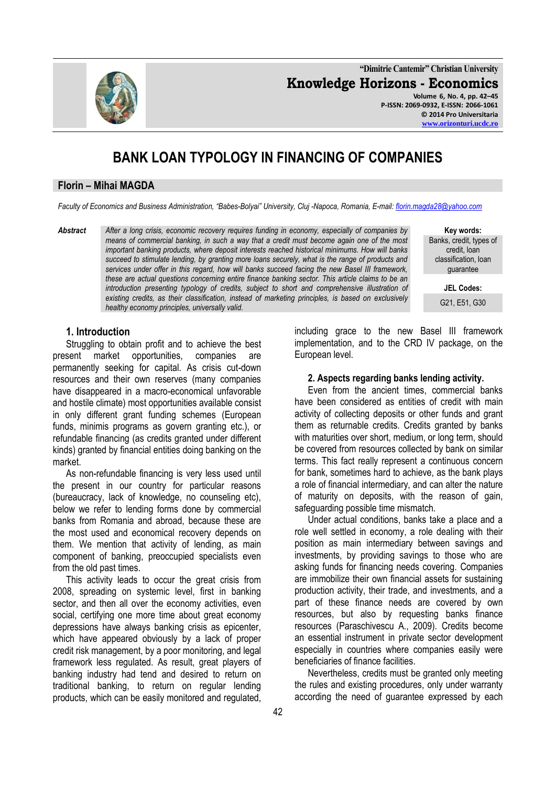**"Dimitrie Cantemir" Christian University Knowledge Horizons - Economics Volume 6, No. 4, pp. 42–45 P-ISSN: 2069-0932, E-ISSN: 2066-1061**

# **BANK LOAN TYPOLOGY IN FINANCING OF COMPANIES**

#### **Florin – Mihai MAGDA**

*Faculty of Economics and Business Administration, "Babes-Bolyai" University, Cluj -Napoca, Romania, E-mail: [florin.magda28@yahoo.com](mailto:florin.magda28@yahoo.com)*

*Abstract After a long crisis, economic recovery requires funding in economy, especially of companies by means of commercial banking, in such a way that a credit must become again one of the most important banking products, where deposit interests reached historical minimums. How will banks succeed to stimulate lending, by granting more loans securely, what is the range of products and services under offer in this regard, how will banks succeed facing the new Basel III framework, these are actual questions concerning entire finance banking sector. This article claims to be an introduction presenting typology of credits, subject to short and comprehensive illustration of existing credits, as their classification, instead of marketing principles, is based on exclusively healthy economy principles, universally valid.*

**Key words:** Banks, credit, types of credit, loan classification, loan guarantee

**JEL Codes:**

G21, E51, G30

# **1. Introduction**

Struggling to obtain profit and to achieve the best present market opportunities, companies are permanently seeking for capital. As crisis cut-down resources and their own reserves (many companies have disappeared in a macro-economical unfavorable and hostile climate) most opportunities available consist in only different grant funding schemes (European funds, minimis programs as govern granting etc.), or refundable financing (as credits granted under different kinds) granted by financial entities doing banking on the market.

As non-refundable financing is very less used until the present in our country for particular reasons (bureaucracy, lack of knowledge, no counseling etc), below we refer to lending forms done by commercial banks from Romania and abroad, because these are the most used and economical recovery depends on them. We mention that activity of lending, as main component of banking, preoccupied specialists even from the old past times.

This activity leads to occur the great crisis from 2008, spreading on systemic level, first in banking sector, and then all over the economy activities, even social, certifying one more time about great economy depressions have always banking crisis as epicenter, which have appeared obviously by a lack of proper credit risk management, by a poor monitoring, and legal framework less regulated. As result, great players of banking industry had tend and desired to return on traditional banking, to return on regular lending products, which can be easily monitored and regulated, including grace to the new Basel III framework implementation, and to the CRD IV package, on the European level.

#### **2. Aspects regarding banks lending activity.**

Even from the ancient times, commercial banks have been considered as entities of credit with main activity of collecting deposits or other funds and grant them as returnable credits. Credits granted by banks with maturities over short, medium, or long term, should be covered from resources collected by bank on similar terms. This fact really represent a continuous concern for bank, sometimes hard to achieve, as the bank plays a role of financial intermediary, and can alter the nature of maturity on deposits, with the reason of gain, safeguarding possible time mismatch.

Under actual conditions, banks take a place and a role well settled in economy, a role dealing with their position as main intermediary between savings and investments, by providing savings to those who are asking funds for financing needs covering. Companies are immobilize their own financial assets for sustaining production activity, their trade, and investments, and a part of these finance needs are covered by own resources, but also by requesting banks finance resources (Paraschivescu A., 2009). Credits become an essential instrument in private sector development especially in countries where companies easily were beneficiaries of finance facilities.

Nevertheless, credits must be granted only meeting the rules and existing procedures, only under warranty according the need of guarantee expressed by each

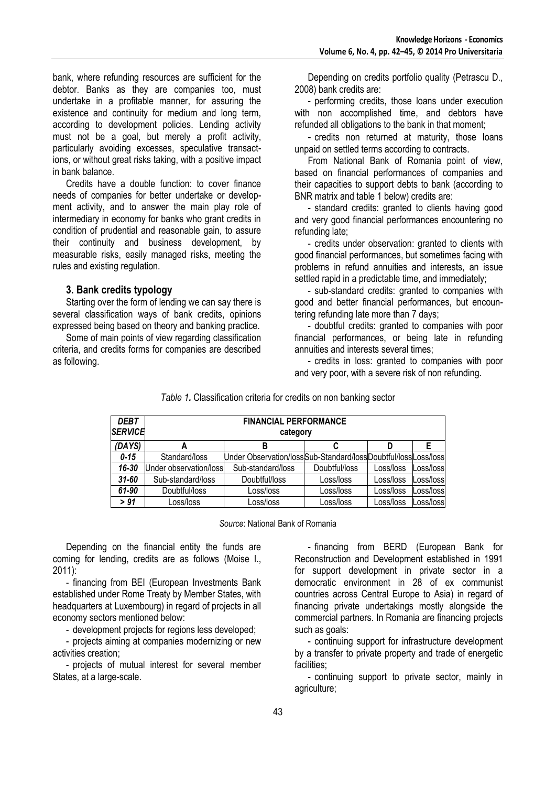bank, where refunding resources are sufficient for the debtor. Banks as they are companies too, must undertake in a profitable manner, for assuring the existence and continuity for medium and long term, according to development policies. Lending activity must not be a goal, but merely a profit activity, particularly avoiding excesses, speculative transactions, or without great risks taking, with a positive impact in bank balance.

Credits have a double function: to cover finance needs of companies for better undertake or development activity, and to answer the main play role of intermediary in economy for banks who grant credits in condition of prudential and reasonable gain, to assure their continuity and business development, by measurable risks, easily managed risks, meeting the rules and existing regulation.

#### **3. Bank credits typology**

Starting over the form of lending we can say there is several classification ways of bank credits, opinions expressed being based on theory and banking practice.

Some of main points of view regarding classification criteria, and credits forms for companies are described as following.

Depending on credits portfolio quality (Petrascu D., 2008) bank credits are:

- performing credits, those loans under execution with non accomplished time, and debtors have refunded all obligations to the bank in that moment;

- credits non returned at maturity, those loans unpaid on settled terms according to contracts.

From National Bank of Romania point of view, based on financial performances of companies and their capacities to support debts to bank (according to BNR matrix and table 1 below) credits are:

- standard credits: granted to clients having good and very good financial performances encountering no refunding late;

- credits under observation: granted to clients with good financial performances, but sometimes facing with problems in refund annuities and interests, an issue settled rapid in a predictable time, and immediately:

- sub-standard credits: granted to companies with good and better financial performances, but encountering refunding late more than 7 days;

- doubtful credits: granted to companies with poor financial performances, or being late in refunding annuities and interests several times;

- credits in loss: granted to companies with poor and very poor, with a severe risk of non refunding.

| <b>DEBT</b><br><b>SERVICE</b> | <b>FINANCIAL PERFORMANCE</b><br>category |                                                               |               |           |            |
|-------------------------------|------------------------------------------|---------------------------------------------------------------|---------------|-----------|------------|
| (DAYS)                        | А                                        | В                                                             |               | D         | Е          |
| $0 - 15$                      | Standard/loss                            | Under Observation/lossSub-Standard/lossDoubtful/lossLoss/loss |               |           |            |
| 16-30                         | Under observation/loss                   | Sub-standard/loss                                             | Doubtful/loss | Loss/loss | Loss/loss  |
| $31 - 60$                     | Sub-standard/loss                        | Doubtful/loss                                                 | Loss/loss     | Loss/loss | _oss/lossl |
| 61-90                         | Doubtful/loss                            | Loss/loss                                                     | Loss/loss     | Loss/loss | Loss/loss  |
| > 91                          | _oss/loss                                | Loss/loss                                                     | Loss/loss     | Loss/loss | Loss/loss  |

*Table 1.* Classification criteria for credits on non banking sector

*Source*: National Bank of Romania

Depending on the financial entity the funds are coming for lending, credits are as follows (Moise I.,  $2011$ :

- financing from BEI (European Investments Bank established under Rome Treaty by Member States, with headquarters at Luxembourg) in regard of projects in all economy sectors mentioned below:

- development projects for regions less developed;

- projects aiming at companies modernizing or new activities creation;

- projects of mutual interest for several member States, at a large-scale.

- financing from BERD (European Bank for Reconstruction and Development established in 1991 for support development in private sector in a democratic environment in 28 of ex communist countries across Central Europe to Asia) in regard of financing private undertakings mostly alongside the commercial partners. In Romania are financing projects such as goals:

- continuing support for infrastructure development by a transfer to private property and trade of energetic facilities;

- continuing support to private sector, mainly in agriculture;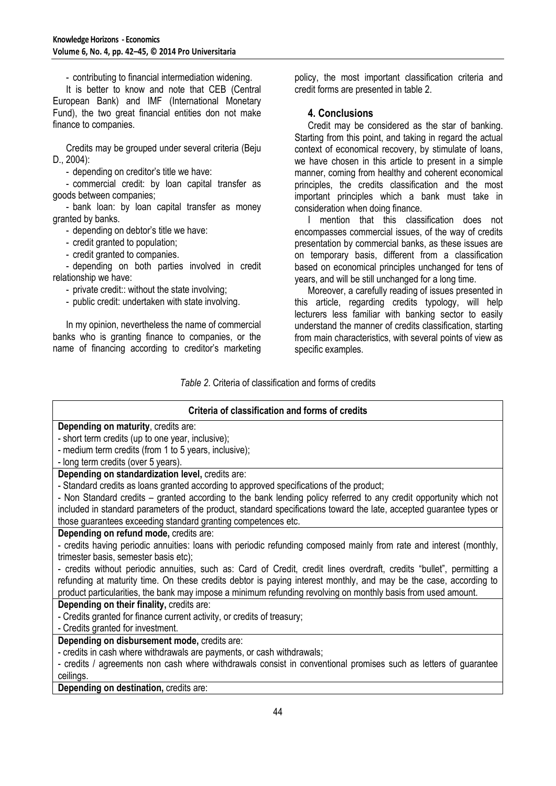- contributing to financial intermediation widening.

It is better to know and note that CEB (Central European Bank) and IMF (International Monetary Fund), the two great financial entities don not make finance to companies.

Credits may be grouped under several criteria (Beju D., 2004):

- depending on creditor's title we have:

- commercial credit: by loan capital transfer as goods between companies;

- bank loan: by loan capital transfer as money granted by banks.

- depending on debtor's title we have:

- credit granted to population;

- credit granted to companies.

- depending on both parties involved in credit relationship we have:

- private credit:: without the state involving;

- public credit: undertaken with state involving.

In my opinion, nevertheless the name of commercial banks who is granting finance to companies, or the name of financing according to creditor's marketing policy, the most important classification criteria and credit forms are presented in table 2.

# **4. Conclusions**

Credit may be considered as the star of banking. Starting from this point, and taking in regard the actual context of economical recovery, by stimulate of loans, we have chosen in this article to present in a simple manner, coming from healthy and coherent economical principles, the credits classification and the most important principles which a bank must take in consideration when doing finance.

I mention that this classification does not encompasses commercial issues, of the way of credits presentation by commercial banks, as these issues are on temporary basis, different from a classification based on economical principles unchanged for tens of years, and will be still unchanged for a long time.

Moreover, a carefully reading of issues presented in this article, regarding credits typology, will help lecturers less familiar with banking sector to easily understand the manner of credits classification, starting from main characteristics, with several points of view as specific examples.

*Table 2*. Criteria of classification and forms of credits

| Criteria of classification and forms of credits                                                                       |  |  |  |  |
|-----------------------------------------------------------------------------------------------------------------------|--|--|--|--|
| Depending on maturity, credits are:                                                                                   |  |  |  |  |
| - short term credits (up to one year, inclusive);                                                                     |  |  |  |  |
| - medium term credits (from 1 to 5 years, inclusive);                                                                 |  |  |  |  |
| - long term credits (over 5 years).                                                                                   |  |  |  |  |
| Depending on standardization level, credits are:                                                                      |  |  |  |  |
| - Standard credits as loans granted according to approved specifications of the product;                              |  |  |  |  |
| - Non Standard credits – granted according to the bank lending policy referred to any credit opportunity which not    |  |  |  |  |
| included in standard parameters of the product, standard specifications toward the late, accepted guarantee types or  |  |  |  |  |
| those guarantees exceeding standard granting competences etc.                                                         |  |  |  |  |
| Depending on refund mode, credits are:                                                                                |  |  |  |  |
| - credits having periodic annuities: loans with periodic refunding composed mainly from rate and interest (monthly,   |  |  |  |  |
| trimester basis, semester basis etc);                                                                                 |  |  |  |  |
| - credits without periodic annuities, such as: Card of Credit, credit lines overdraft, credits "bullet", permitting a |  |  |  |  |
| refunding at maturity time. On these credits debtor is paying interest monthly, and may be the case, according to     |  |  |  |  |
| product particularities, the bank may impose a minimum refunding revolving on monthly basis from used amount.         |  |  |  |  |
| Depending on their finality, credits are:                                                                             |  |  |  |  |
| - Credits granted for finance current activity, or credits of treasury;                                               |  |  |  |  |
| - Credits granted for investment.                                                                                     |  |  |  |  |
| Depending on disbursement mode, credits are:                                                                          |  |  |  |  |
| - credits in cash where withdrawals are payments, or cash withdrawals;                                                |  |  |  |  |
| - credits / agreements non cash where withdrawals consist in conventional promises such as letters of guarantee       |  |  |  |  |
| ceilings.                                                                                                             |  |  |  |  |
| Depending on destination, credits are:                                                                                |  |  |  |  |
|                                                                                                                       |  |  |  |  |